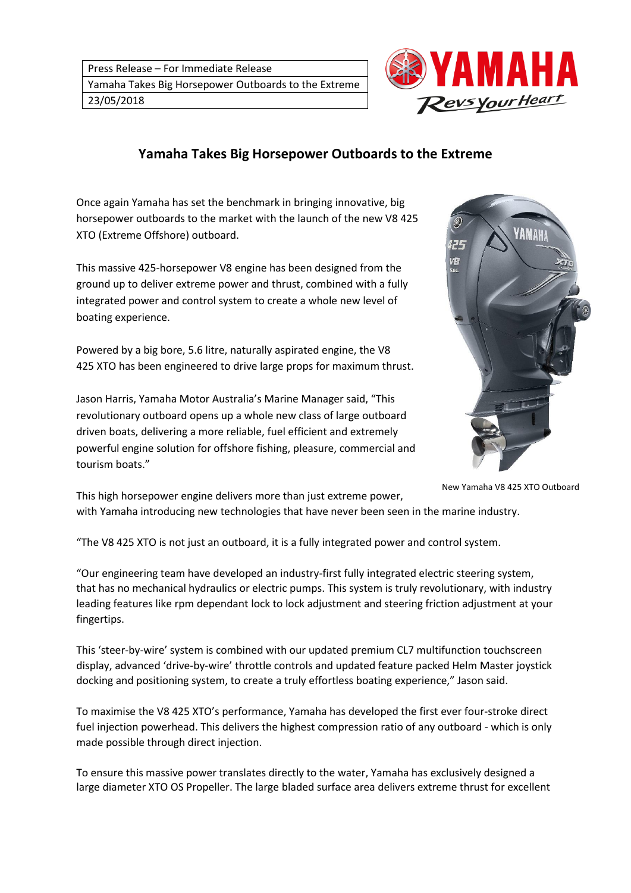

## **Yamaha Takes Big Horsepower Outboards to the Extreme**

Once again Yamaha has set the benchmark in bringing innovative, big horsepower outboards to the market with the launch of the new V8 425 XTO (Extreme Offshore) outboard.

This massive 425-horsepower V8 engine has been designed from the ground up to deliver extreme power and thrust, combined with a fully integrated power and control system to create a whole new level of boating experience.

Powered by a big bore, 5.6 litre, naturally aspirated engine, the V8 425 XTO has been engineered to drive large props for maximum thrust.

Jason Harris, Yamaha Motor Australia's Marine Manager said, "This revolutionary outboard opens up a whole new class of large outboard driven boats, delivering a more reliable, fuel efficient and extremely powerful engine solution for offshore fishing, pleasure, commercial and tourism boats."



New Yamaha V8 425 XTO Outboard

This high horsepower engine delivers more than just extreme power, with Yamaha introducing new technologies that have never been seen in the marine industry.

"The V8 425 XTO is not just an outboard, it is a fully integrated power and control system.

"Our engineering team have developed an industry-first fully integrated electric steering system, that has no mechanical hydraulics or electric pumps. This system is truly revolutionary, with industry leading features like rpm dependant lock to lock adjustment and steering friction adjustment at your fingertips.

This 'steer-by-wire' system is combined with our updated premium CL7 multifunction touchscreen display, advanced 'drive-by-wire' throttle controls and updated feature packed Helm Master joystick docking and positioning system, to create a truly effortless boating experience," Jason said.

To maximise the V8 425 XTO's performance, Yamaha has developed the first ever four-stroke direct fuel injection powerhead. This delivers the highest compression ratio of any outboard - which is only made possible through direct injection.

To ensure this massive power translates directly to the water, Yamaha has exclusively designed a large diameter XTO OS Propeller. The large bladed surface area delivers extreme thrust for excellent